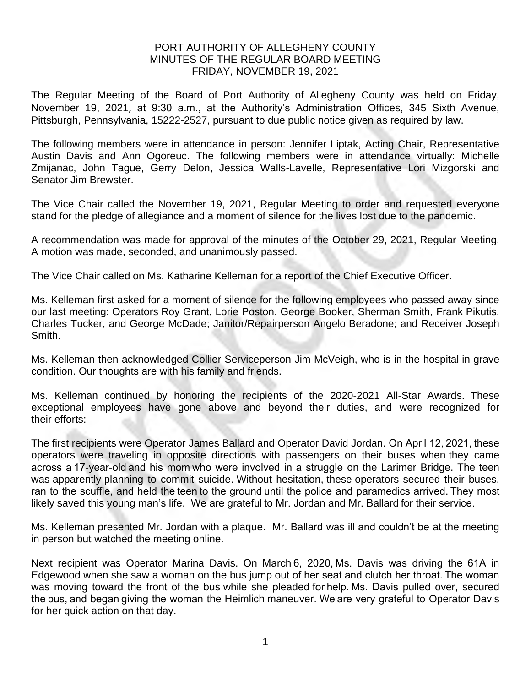## PORT AUTHORITY OF ALLEGHENY COUNTY MINUTES OF THE REGULAR BOARD MEETING FRIDAY, NOVEMBER 19, 2021

The Regular Meeting of the Board of Port Authority of Allegheny County was held on Friday, November 19, 2021, at 9:30 a.m., at the Authority's Administration Offices, 345 Sixth Avenue, Pittsburgh, Pennsylvania, 15222-2527, pursuant to due public notice given as required by law.

The following members were in attendance in person: Jennifer Liptak, Acting Chair, Representative Austin Davis and Ann Ogoreuc. The following members were in attendance virtually: Michelle Zmijanac, John Tague, Gerry Delon, Jessica Walls-Lavelle, Representative Lori Mizgorski and Senator Jim Brewster.

The Vice Chair called the November 19, 2021, Regular Meeting to order and requested everyone stand for the pledge of allegiance and a moment of silence for the lives lost due to the pandemic.

A recommendation was made for approval of the minutes of the October 29, 2021, Regular Meeting. A motion was made, seconded, and unanimously passed.

The Vice Chair called on Ms. Katharine Kelleman for a report of the Chief Executive Officer.

Ms. Kelleman first asked for a moment of silence for the following employees who passed away since our last meeting: Operators Roy Grant, Lorie Poston, George Booker, Sherman Smith, Frank Pikutis, Charles Tucker, and George McDade; Janitor/Repairperson Angelo Beradone; and Receiver Joseph Smith.

Ms. Kelleman then acknowledged Collier Serviceperson Jim McVeigh, who is in the hospital in grave condition. Our thoughts are with his family and friends.

Ms. Kelleman continued by honoring the recipients of the 2020-2021 All-Star Awards. These exceptional employees have gone above and beyond their duties, and were recognized for their efforts:

The first recipients were Operator James Ballard and Operator David Jordan. On April 12, 2021, these operators were traveling in opposite directions with passengers on their buses when they came across a 17-year-old and his mom who were involved in a struggle on the Larimer Bridge. The teen was apparently planning to commit suicide. Without hesitation, these operators secured their buses, ran to the scuffle, and held the teen to the ground until the police and paramedics arrived. They most likely saved this young man's life. We are grateful to Mr. Jordan and Mr. Ballard for their service.  

Ms. Kelleman presented Mr. Jordan with a plaque. Mr. Ballard was ill and couldn't be at the meeting in person but watched the meeting online.

Next recipient was Operator Marina Davis. On March 6, 2020, Ms. Davis was driving the 61A in Edgewood when she saw a woman on the bus jump out of her seat and clutch her throat. The woman was moving toward the front of the bus while she pleaded for help. Ms. Davis pulled over, secured the bus, and began giving the woman the Heimlich maneuver. We are very grateful to Operator Davis for her quick action on that day.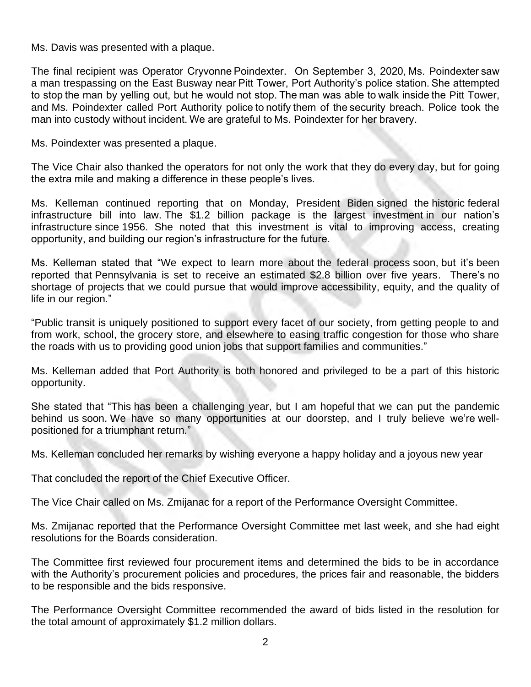Ms. Davis was presented with a plaque.

The final recipient was Operator Cryvonne Poindexter. On September 3, 2020, Ms. Poindexter saw a man trespassing on the East Busway near Pitt Tower, Port Authority's police station. She attempted to stop the man by yelling out, but he would not stop. The man was able to walk inside the Pitt Tower, and Ms. Poindexter called Port Authority police to notify them of the security breach. Police took the man into custody without incident. We are grateful to Ms. Poindexter for her bravery.  

Ms. Poindexter was presented a plaque.

The Vice Chair also thanked the operators for not only the work that they do every day, but for going the extra mile and making a difference in these people's lives.

Ms. Kelleman continued reporting that on Monday, President Biden signed the historic federal infrastructure bill into law. The \$1.2 billion package is the largest investment in our nation's infrastructure since 1956. She noted that this investment is vital to improving access, creating opportunity, and building our region's infrastructure for the future.

Ms. Kelleman stated that "We expect to learn more about the federal process soon, but it's been reported that Pennsylvania is set to receive an estimated \$2.8 billion over five years. There's no shortage of projects that we could pursue that would improve accessibility, equity, and the quality of life in our region."

"Public transit is uniquely positioned to support every facet of our society, from getting people to and from work, school, the grocery store, and elsewhere to easing traffic congestion for those who share the roads with us to providing good union jobs that support families and communities."

Ms. Kelleman added that Port Authority is both honored and privileged to be a part of this historic opportunity.

She stated that "This has been a challenging year, but I am hopeful that we can put the pandemic behind us soon. We have so many opportunities at our doorstep, and I truly believe we're wellpositioned for a triumphant return."

Ms. Kelleman concluded her remarks by wishing everyone a happy holiday and a joyous new year

That concluded the report of the Chief Executive Officer.

The Vice Chair called on Ms. Zmijanac for a report of the Performance Oversight Committee.

Ms. Zmijanac reported that the Performance Oversight Committee met last week, and she had eight resolutions for the Boards consideration.

The Committee first reviewed four procurement items and determined the bids to be in accordance with the Authority's procurement policies and procedures, the prices fair and reasonable, the bidders to be responsible and the bids responsive.

The Performance Oversight Committee recommended the award of bids listed in the resolution for the total amount of approximately \$1.2 million dollars.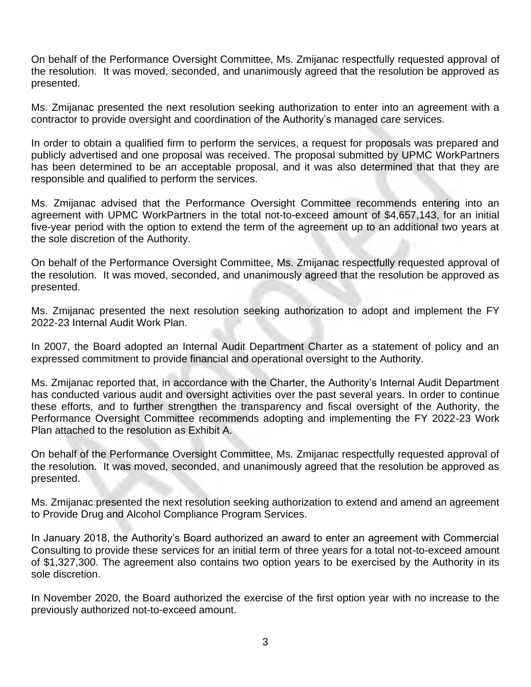On behalf of the Performance Oversight Committee, Ms. Zmijanac respectfully requested approval of the resolution. It was moved, seconded, and unanimously agreed that the resolution be approved as presented.

Ms. Zmijanac presented the next resolution seeking authorization to enter into an agreement with a contractor to provide oversight and coordination of the Authority's managed care services.

In order to obtain a qualified firm to perform the services, a request for proposals was prepared and publicly advertised and one proposal was received. The proposal submitted by UPMC WorkPartners has been determined to be an acceptable proposal, and it was also determined that that they are responsible and qualified to perform the services.

Ms. Zmijanac advised that the Performance Oversight Committee recommends entering into an agreement with UPMC WorkPartners in the total not-to-exceed amount of \$4,657,143, for an initial five-year period with the option to extend the term of the agreement up to an additional two years at the sole discretion of the Authority.

On behalf of the Performance Oversight Committee, Ms. Zmijanac respectfully requested approval of the resolution. It was moved, seconded, and unanimously agreed that the resolution be approved as presented.

Ms. Zmijanac presented the next resolution seeking authorization to adopt and implement the FY 2022-23 Internal Audit Work Plan.

In 2007, the Board adopted an Internal Audit Department Charter as a statement of policy and an expressed commitment to provide financial and operational oversight to the Authority.

Ms. Zmijanac reported that, in accordance with the Charter, the Authority's Internal Audit Department has conducted various audit and oversight activities over the past several years. In order to continue these efforts, and to further strengthen the transparency and fiscal oversight of the Authority, the Performance Oversight Committee recommends adopting and implementing the FY 2022-23 Work Plan attached to the resolution as Exhibit A.

On behalf of the Performance Oversight Committee, Ms. Zmijanac respectfully requested approval of the resolution. It was moved, seconded, and unanimously agreed that the resolution be approved as presented.

Ms. Zmijanac presented the next resolution seeking authorization to extend and amend an agreement to Provide Drug and Alcohol Compliance Program Services.

In January 2018, the Authority's Board authorized an award to enter an agreement with Commercial Consulting to provide these services for an initial term of three years for a total not-to-exceed amount of \$1,327,300. The agreement also contains two option years to be exercised by the Authority in its sole discretion.

In November 2020, the Board authorized the exercise of the first option year with no increase to the previously authorized not-to-exceed amount.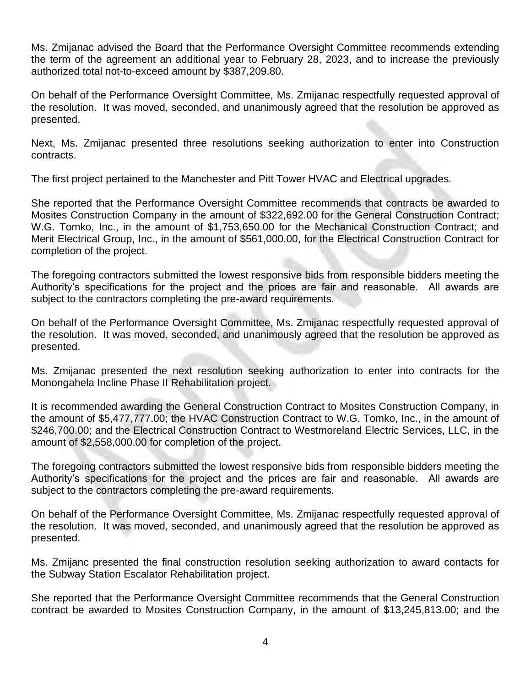Ms. Zmijanac advised the Board that the Performance Oversight Committee recommends extending the term of the agreement an additional year to February 28, 2023, and to increase the previously authorized total not-to-exceed amount by \$387,209.80.

On behalf of the Performance Oversight Committee, Ms. Zmijanac respectfully requested approval of the resolution. It was moved, seconded, and unanimously agreed that the resolution be approved as presented.

Next, Ms. Zmijanac presented three resolutions seeking authorization to enter into Construction contracts.

The first project pertained to the Manchester and Pitt Tower HVAC and Electrical upgrades.

She reported that the Performance Oversight Committee recommends that contracts be awarded to Mosites Construction Company in the amount of \$322,692.00 for the General Construction Contract; W.G. Tomko, Inc., in the amount of \$1,753,650.00 for the Mechanical Construction Contract; and Merit Electrical Group, Inc., in the amount of \$561,000.00, for the Electrical Construction Contract for completion of the project.

The foregoing contractors submitted the lowest responsive bids from responsible bidders meeting the Authority's specifications for the project and the prices are fair and reasonable. All awards are subject to the contractors completing the pre-award requirements.

On behalf of the Performance Oversight Committee, Ms. Zmijanac respectfully requested approval of the resolution. It was moved, seconded, and unanimously agreed that the resolution be approved as presented.

Ms. Zmijanac presented the next resolution seeking authorization to enter into contracts for the Monongahela Incline Phase II Rehabilitation project.

It is recommended awarding the General Construction Contract to Mosites Construction Company, in the amount of \$5,477,777.00; the HVAC Construction Contract to W.G. Tomko, Inc., in the amount of \$246,700.00; and the Electrical Construction Contract to Westmoreland Electric Services, LLC, in the amount of \$2,558,000.00 for completion of the project.

The foregoing contractors submitted the lowest responsive bids from responsible bidders meeting the Authority's specifications for the project and the prices are fair and reasonable. All awards are subject to the contractors completing the pre-award requirements.

On behalf of the Performance Oversight Committee, Ms. Zmijanac respectfully requested approval of the resolution. It was moved, seconded, and unanimously agreed that the resolution be approved as presented.

Ms. Zmijanc presented the final construction resolution seeking authorization to award contacts for the Subway Station Escalator Rehabilitation project.

She reported that the Performance Oversight Committee recommends that the General Construction contract be awarded to Mosites Construction Company, in the amount of \$13,245,813.00; and the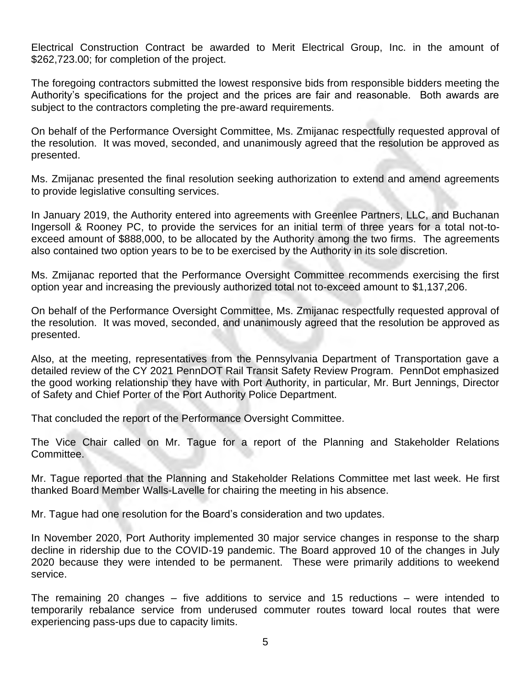Electrical Construction Contract be awarded to Merit Electrical Group, Inc. in the amount of \$262,723.00; for completion of the project.

The foregoing contractors submitted the lowest responsive bids from responsible bidders meeting the Authority's specifications for the project and the prices are fair and reasonable. Both awards are subject to the contractors completing the pre-award requirements.

On behalf of the Performance Oversight Committee, Ms. Zmijanac respectfully requested approval of the resolution. It was moved, seconded, and unanimously agreed that the resolution be approved as presented.

Ms. Zmijanac presented the final resolution seeking authorization to extend and amend agreements to provide legislative consulting services.

In January 2019, the Authority entered into agreements with Greenlee Partners, LLC, and Buchanan Ingersoll & Rooney PC, to provide the services for an initial term of three years for a total not-toexceed amount of \$888,000, to be allocated by the Authority among the two firms. The agreements also contained two option years to be to be exercised by the Authority in its sole discretion.

Ms. Zmijanac reported that the Performance Oversight Committee recommends exercising the first option year and increasing the previously authorized total not to-exceed amount to \$1,137,206.

On behalf of the Performance Oversight Committee, Ms. Zmijanac respectfully requested approval of the resolution. It was moved, seconded, and unanimously agreed that the resolution be approved as presented.

Also, at the meeting, representatives from the Pennsylvania Department of Transportation gave a detailed review of the CY 2021 PennDOT Rail Transit Safety Review Program. PennDot emphasized the good working relationship they have with Port Authority, in particular, Mr. Burt Jennings, Director of Safety and Chief Porter of the Port Authority Police Department.

That concluded the report of the Performance Oversight Committee.

The Vice Chair called on Mr. Tague for a report of the Planning and Stakeholder Relations Committee.

Mr. Tague reported that the Planning and Stakeholder Relations Committee met last week. He first thanked Board Member Walls-Lavelle for chairing the meeting in his absence.

Mr. Tague had one resolution for the Board's consideration and two updates.

In November 2020, Port Authority implemented 30 major service changes in response to the sharp decline in ridership due to the COVID-19 pandemic. The Board approved 10 of the changes in July 2020 because they were intended to be permanent. These were primarily additions to weekend service.

The remaining 20 changes – five additions to service and 15 reductions – were intended to temporarily rebalance service from underused commuter routes toward local routes that were experiencing pass-ups due to capacity limits.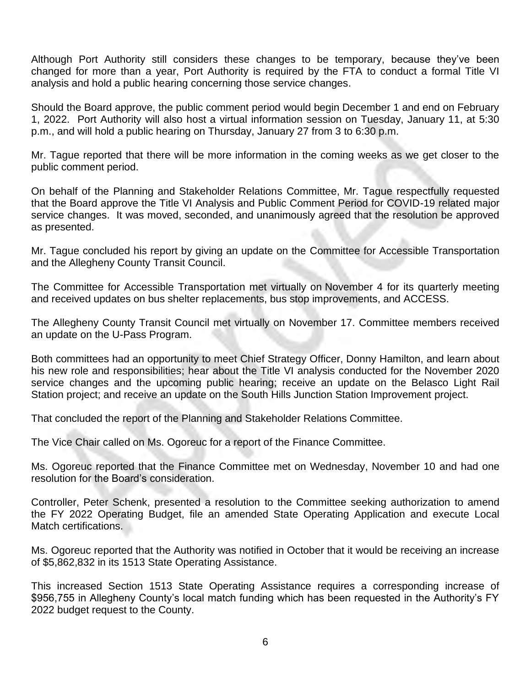Although Port Authority still considers these changes to be temporary, because they've been changed for more than a year, Port Authority is required by the FTA to conduct a formal Title VI analysis and hold a public hearing concerning those service changes.

Should the Board approve, the public comment period would begin December 1 and end on February 1, 2022. Port Authority will also host a virtual information session on Tuesday, January 11, at 5:30 p.m., and will hold a public hearing on Thursday, January 27 from 3 to 6:30 p.m.

Mr. Tague reported that there will be more information in the coming weeks as we get closer to the public comment period.

On behalf of the Planning and Stakeholder Relations Committee, Mr. Tague respectfully requested that the Board approve the Title VI Analysis and Public Comment Period for COVID-19 related major service changes. It was moved, seconded, and unanimously agreed that the resolution be approved as presented.

Mr. Tague concluded his report by giving an update on the Committee for Accessible Transportation and the Allegheny County Transit Council.

The Committee for Accessible Transportation met virtually on November 4 for its quarterly meeting and received updates on bus shelter replacements, bus stop improvements, and ACCESS.

The Allegheny County Transit Council met virtually on November 17. Committee members received an update on the U-Pass Program.

Both committees had an opportunity to meet Chief Strategy Officer, Donny Hamilton, and learn about his new role and responsibilities; hear about the Title VI analysis conducted for the November 2020 service changes and the upcoming public hearing; receive an update on the Belasco Light Rail Station project; and receive an update on the South Hills Junction Station Improvement project.

That concluded the report of the Planning and Stakeholder Relations Committee.

The Vice Chair called on Ms. Ogoreuc for a report of the Finance Committee.

Ms. Ogoreuc reported that the Finance Committee met on Wednesday, November 10 and had one resolution for the Board's consideration.

Controller, Peter Schenk, presented a resolution to the Committee seeking authorization to amend the FY 2022 Operating Budget, file an amended State Operating Application and execute Local Match certifications.

Ms. Ogoreuc reported that the Authority was notified in October that it would be receiving an increase of \$5,862,832 in its 1513 State Operating Assistance.

This increased Section 1513 State Operating Assistance requires a corresponding increase of \$956,755 in Allegheny County's local match funding which has been requested in the Authority's FY 2022 budget request to the County.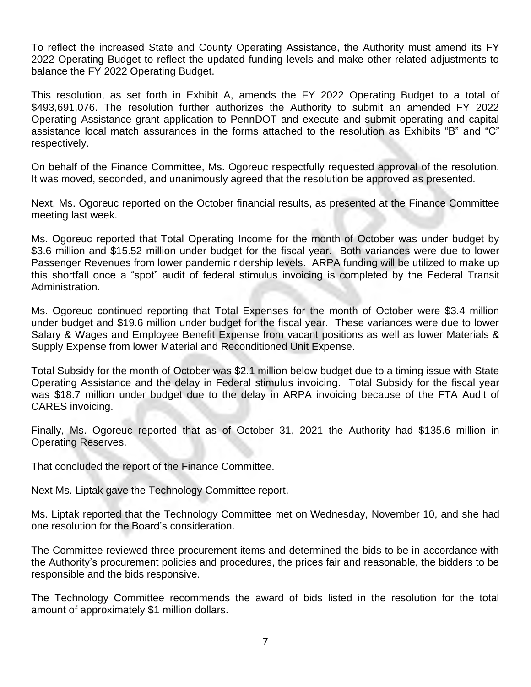To reflect the increased State and County Operating Assistance, the Authority must amend its FY 2022 Operating Budget to reflect the updated funding levels and make other related adjustments to balance the FY 2022 Operating Budget.

This resolution, as set forth in Exhibit A, amends the FY 2022 Operating Budget to a total of \$493,691,076. The resolution further authorizes the Authority to submit an amended FY 2022 Operating Assistance grant application to PennDOT and execute and submit operating and capital assistance local match assurances in the forms attached to the resolution as Exhibits "B" and "C" respectively.

On behalf of the Finance Committee, Ms. Ogoreuc respectfully requested approval of the resolution. It was moved, seconded, and unanimously agreed that the resolution be approved as presented.

Next, Ms. Ogoreuc reported on the October financial results, as presented at the Finance Committee meeting last week.

Ms. Ogoreuc reported that Total Operating Income for the month of October was under budget by \$3.6 million and \$15.52 million under budget for the fiscal year. Both variances were due to lower Passenger Revenues from lower pandemic ridership levels. ARPA funding will be utilized to make up this shortfall once a "spot" audit of federal stimulus invoicing is completed by the Federal Transit Administration.

Ms. Ogoreuc continued reporting that Total Expenses for the month of October were \$3.4 million under budget and \$19.6 million under budget for the fiscal year. These variances were due to lower Salary & Wages and Employee Benefit Expense from vacant positions as well as lower Materials & Supply Expense from lower Material and Reconditioned Unit Expense.

Total Subsidy for the month of October was \$2.1 million below budget due to a timing issue with State Operating Assistance and the delay in Federal stimulus invoicing. Total Subsidy for the fiscal year was \$18.7 million under budget due to the delay in ARPA invoicing because of the FTA Audit of CARES invoicing.

Finally, Ms. Ogoreuc reported that as of October 31, 2021 the Authority had \$135.6 million in Operating Reserves.

That concluded the report of the Finance Committee.

Next Ms. Liptak gave the Technology Committee report.

Ms. Liptak reported that the Technology Committee met on Wednesday, November 10, and she had one resolution for the Board's consideration.

The Committee reviewed three procurement items and determined the bids to be in accordance with the Authority's procurement policies and procedures, the prices fair and reasonable, the bidders to be responsible and the bids responsive.

The Technology Committee recommends the award of bids listed in the resolution for the total amount of approximately \$1 million dollars.